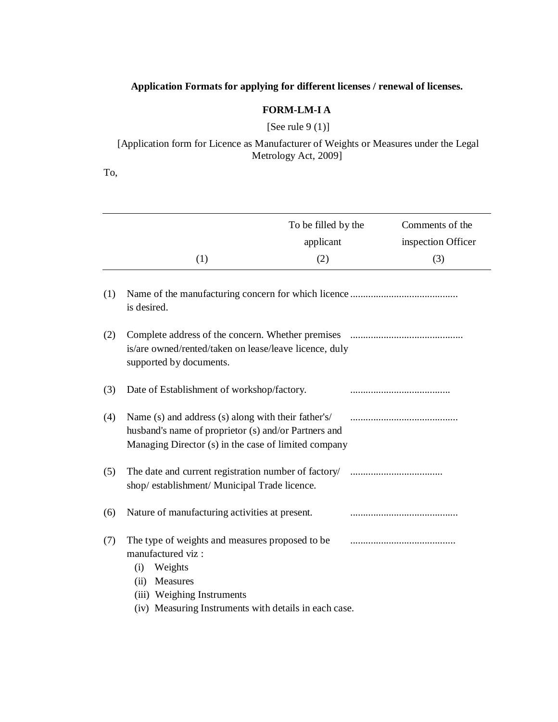## **Application Formats for applying for different licenses / renewal of licenses.**

### **FORM-LM-I A**

[See rule 9 (1)]

[Application form for Licence as Manufacturer of Weights or Measures under the Legal Metrology Act, 2009]

To,

|     | (1)                                                                                                                                                                                               | To be filled by the<br>applicant<br>(2) | Comments of the<br>inspection Officer<br>(3) |
|-----|---------------------------------------------------------------------------------------------------------------------------------------------------------------------------------------------------|-----------------------------------------|----------------------------------------------|
| (1) | is desired.                                                                                                                                                                                       |                                         |                                              |
| (2) | is/are owned/rented/taken on lease/leave licence, duly<br>supported by documents.                                                                                                                 |                                         |                                              |
| (3) | Date of Establishment of workshop/factory.                                                                                                                                                        |                                         |                                              |
| (4) | Name (s) and address (s) along with their father's/<br>husband's name of proprietor (s) and/or Partners and<br>Managing Director (s) in the case of limited company                               |                                         |                                              |
| (5) | The date and current registration number of factory/<br>shop/establishment/Municipal Trade licence.                                                                                               |                                         |                                              |
| (6) | Nature of manufacturing activities at present.                                                                                                                                                    |                                         |                                              |
| (7) | The type of weights and measures proposed to be<br>manufactured viz:<br>Weights<br>(i)<br>Measures<br>(ii)<br>(iii) Weighing Instruments<br>(iv) Measuring Instruments with details in each case. |                                         |                                              |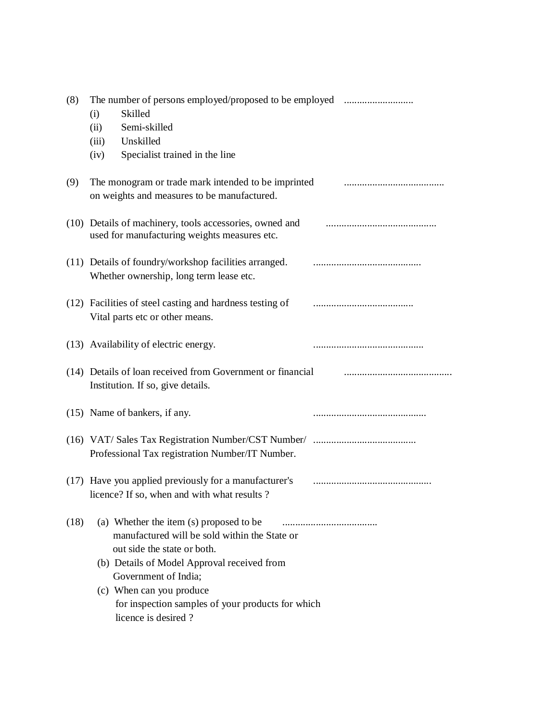| (8)  |                                                                                                                                                                                                                            |  |  |
|------|----------------------------------------------------------------------------------------------------------------------------------------------------------------------------------------------------------------------------|--|--|
|      | Skilled<br>(i)<br>Semi-skilled                                                                                                                                                                                             |  |  |
|      | (ii)<br>Unskilled                                                                                                                                                                                                          |  |  |
|      | (iii)<br>Specialist trained in the line                                                                                                                                                                                    |  |  |
|      | (iv)                                                                                                                                                                                                                       |  |  |
| (9)  | The monogram or trade mark intended to be imprinted<br>on weights and measures to be manufactured.                                                                                                                         |  |  |
|      | (10) Details of machinery, tools accessories, owned and<br>used for manufacturing weights measures etc.                                                                                                                    |  |  |
|      | (11) Details of foundry/workshop facilities arranged.<br>Whether ownership, long term lease etc.                                                                                                                           |  |  |
|      | (12) Facilities of steel casting and hardness testing of<br>Vital parts etc or other means.                                                                                                                                |  |  |
|      | (13) Availability of electric energy.                                                                                                                                                                                      |  |  |
|      | (14) Details of loan received from Government or financial<br>Institution. If so, give details.                                                                                                                            |  |  |
|      | (15) Name of bankers, if any.                                                                                                                                                                                              |  |  |
|      | Professional Tax registration Number/IT Number.                                                                                                                                                                            |  |  |
|      | (17) Have you applied previously for a manufacturer's<br>licence? If so, when and with what results?                                                                                                                       |  |  |
| (18) | (a) Whether the item (s) proposed to be<br>manufactured will be sold within the State or<br>out side the state or both.<br>(b) Details of Model Approval received from<br>Government of India;<br>(c) When can you produce |  |  |
|      | for inspection samples of your products for which<br>licence is desired?                                                                                                                                                   |  |  |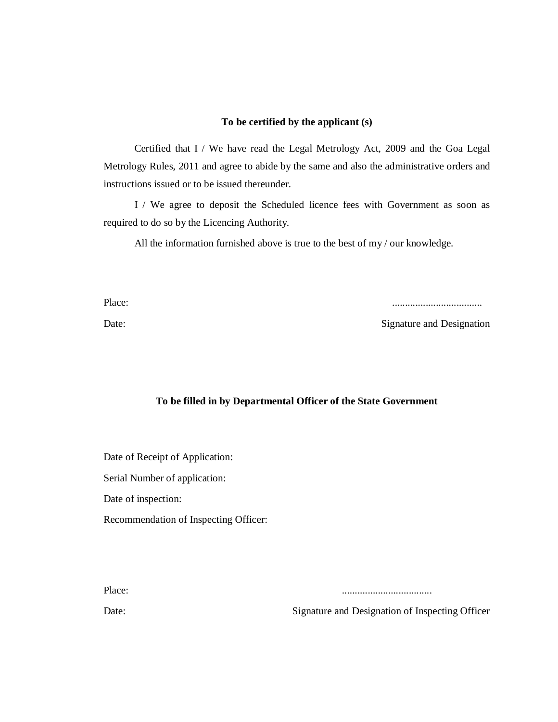#### **To be certified by the applicant (s)**

Certified that I / We have read the Legal Metrology Act, 2009 and the Goa Legal Metrology Rules, 2011 and agree to abide by the same and also the administrative orders and instructions issued or to be issued thereunder.

I / We agree to deposit the Scheduled licence fees with Government as soon as required to do so by the Licencing Authority.

All the information furnished above is true to the best of my / our knowledge.

Place: ...................................

Date: Signature and Designation

#### **To be filled in by Departmental Officer of the State Government**

Date of Receipt of Application:

Serial Number of application:

Date of inspection:

Recommendation of Inspecting Officer:

Place: ...................................

Date: Signature and Designation of Inspecting Officer